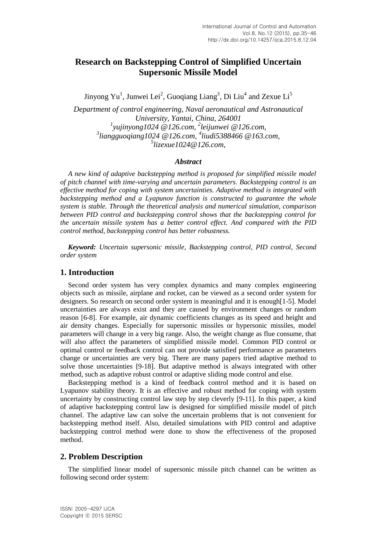# **Research on Backstepping Control of Simplified Uncertain Supersonic Missile Model**

Jinyong Yu<sup>1</sup>, Junwei Lei<sup>2</sup>, Guoqiang Liang<sup>3</sup>, Di Liu<sup>4</sup> and Zexue Li<sup>5</sup>

*Department of control engineering, Naval aeronautical and Astronautical University, Yantai, China, 264001 1 yujinyong1024 @126.com, 2 leijunwei @126.com, 3 liangguoqiang1024 @126.com, 4 liudi5388466 @163.com, 5 lizexue1024@126.com,*

## *Abstract*

*A new kind of adaptive backstepping method is proposed for simplified missile model of pitch channel with time-varying and uncertain parameters. Backstepping control is an effective method for coping with system uncertainties. Adaptive method is integrated with backstepping method and a Lyapunov function is constructed to guarantee the whole system is stable. Through the theoretical analysis and numerical simulation, comparison between PID control and backstepping control shows that the backstepping control for the uncertain missile system has a better control effect. And compared with the PID control method, backstepping control has better robustness.*

*Keyword: Uncertain supersonic missile, Backstepping control, PID control, Second order system*

## **1. Introduction**

Second order system has very complex dynamics and many complex engineering objects such as missile, airplane and rocket, can be viewed as a second order system for designers. So research on second order system is meaningful and it is enough[1-5]. Model uncertainties are always exist and they are caused by environment changes or random reason [6-8]. For example, air dynamic coefficients changes as its speed and height and air density changes. Especially for supersonic missiles or hypersonic missiles, model parameters will change in a very big range. Also, the weight change as flue consume, that will also affect the parameters of simplified missile model. Common PID control or optimal control or feedback control can not provide satisfied performance as parameters change or uncertainties are very big. There are many papers tried adaptive method to solve those uncertainties [9-18]. But adaptive method is always integrated with other method, such as adaptive robust control or adaptive sliding mode control and else.

Backstepping method is a kind of feedback control method and it is based on Lyapunov stability theory. It is an effective and robust method for coping with system uncertainty by constructing control law step by step cleverly [9-11]. In this paper, a kind of adaptive backstepping control law is designed for simplified missile model of pitch channel. The adaptive law can solve the uncertain problems that is not convenient for backstepping method itself. Also, detailed simulations with PID control and adaptive backstepping control method were done to show the effectiveness of the proposed method.

## **2. Problem Description**

The simplified linear model of supersonic missile pitch channel can be written as following second order system: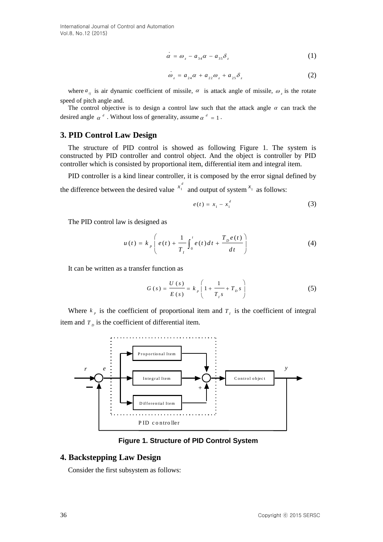$$
\alpha = \omega_z - a_{34}\alpha - a_{35}\delta_z \tag{1}
$$

$$
\dot{\omega}_z = a_{24}\alpha + a_{22}\omega_z + a_{25}\delta_z \tag{2}
$$

where  $a_{ij}$  is air dynamic coefficient of missile,  $\alpha$  is attack angle of missile,  $\omega_z$  is the rotate speed of pitch angle and.

The control objective is to design a control law such that the attack angle  $\alpha$  can track the desired angle  $\alpha^d$ . Without loss of generality, assume  $\alpha^d = 1$ .

## **3. PID Control Law Design**

The structure of PID control is showed as following Figure 1. The system is constructed by PID controller and control object. And the object is controller by PID controller which is consisted by proportional item, differential item and integral item.

PID controller is a kind linear controller, it is composed by the error signal defined by the difference between the desired value  $x_1$  $x_1^d$  and output of system  $x_1$  as follows:

$$
e(t) = x_1 - x_1^d \tag{3}
$$

The PID control law is designed as

$$
u(t) = k_p \left( e(t) + \frac{1}{T_t} \int_0^t e(t) dt + \frac{T_p e(t)}{dt} \right)
$$
 (4)

It can be written as a transfer function as

$$
G(s) = \frac{U(s)}{E(s)} = k_p \left( 1 + \frac{1}{T_{1} s} + T_{2} s \right)
$$
 (5)

Where  $k_p$  is the coefficient of proportional item and  $T_i$  is the coefficient of integral item and  $T<sub>p</sub>$  is the coefficient of differential item.



**Figure 1. Structure of PID Control System**

#### **4. Backstepping Law Design**

Consider the first subsystem as follows: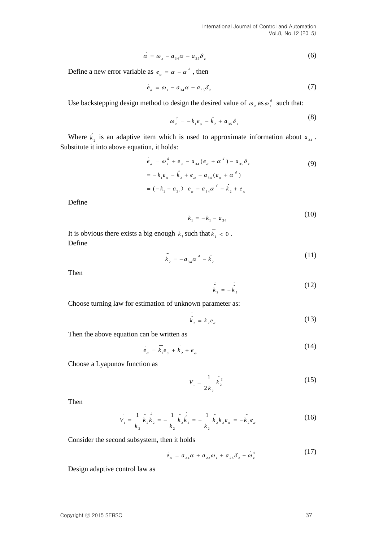$$
\dot{\alpha} = \omega_z - a_{34}\alpha - a_{35}\delta_z \tag{6}
$$

Define a new error variable as  $e_{\alpha} = \alpha - \alpha^d$ , then

$$
\dot{e}_a = \omega_z - a_{34}\alpha - a_{35}\delta_z \tag{7}
$$

Use backstepping design method to design the desired value of  $\omega_z$  as  $\omega_z^d$  such that:

$$
\omega_z^d = -k_1 e_\alpha - \hat{k}_2 + a_{35} \delta_z \tag{8}
$$

Where  $\hat{k}_2$  is an adaptive item which is used to approximate information about  $a_{34}$ . Substitute it into above equation, it holds:

$$
\dot{e}_{\alpha} = \omega_{z}^{d} + e_{\omega} - a_{34}(e_{\alpha} + \alpha^{d}) - a_{35}\delta_{z}
$$
\n
$$
= -k_{1}e_{\alpha} - \hat{k}_{2} + e_{\omega} - a_{34}(e_{\alpha} + \alpha^{d})
$$
\n
$$
= (-k_{1} - a_{34}) e_{\alpha} - a_{34}\alpha^{d} - \hat{k}_{2} + e_{\omega}
$$
\n(9)

Define

$$
\overline{k}_1 = -k_1 - a_{34} \tag{10}
$$

It is obvious there exists a big enough  $k_1$  such that  $k_1 < 0$ . Define

$$
\tilde{k}_2 = -a_{34}\alpha^d - \hat{k}_2 \tag{11}
$$

Then

$$
\dot{\tilde{k}}_2 = -\dot{\tilde{k}}_2 \tag{12}
$$

Choose turning law for estimation of unknown parameter as:

$$
\hat{k}_2 = k_2 e_a \tag{13}
$$

Then the above equation can be written as

$$
\dot{e}_{\alpha} = \overline{k}_1 e_{\alpha} + \tilde{k}_2 + e_{\omega} \tag{14}
$$

Choose a Lyapunov function as

$$
V_1 = \frac{1}{2k_2} \tilde{k}_2^2
$$
 (15)

Then

$$
\dot{V}_1 = \frac{1}{k_2} \tilde{k}_2 \dot{\tilde{k}}_2 = -\frac{1}{k_2} \tilde{k}_2 \dot{\tilde{k}}_2 = -\frac{1}{k_2} \tilde{k}_2 k_2 e_\alpha = -\tilde{k}_2 e_\alpha \tag{16}
$$

Consider the second subsystem, then it holds

$$
\dot{e}_{\omega} = a_{24}\alpha + a_{22}\omega_{z} + a_{25}\delta_{z} - \omega_{z}^{d}
$$
 (17)

Design adaptive control law as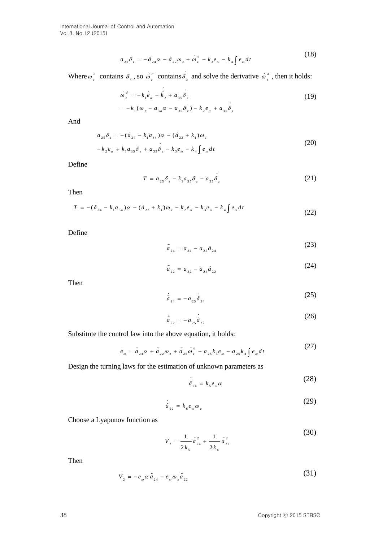$$
a_{25}\delta_z = -\hat{a}_{24}\alpha - \hat{a}_{22}\omega_z + \dot{\omega}_z^d - k_3 e_\omega - k_4 \int e_\omega dt
$$
 (18)

Where  $\omega_z^d$  contains  $\delta_z$ , so  $\omega_z^d$  contains  $\delta_z$  and solve the derivative  $\omega_z^d$ , then it holds:

$$
\dot{\omega}_z^d = -k_1 e_a - \hat{k}_2 + a_{35} \delta_z
$$
  
=  $-k_1 (\omega_z - a_{34} \alpha - a_{35} \delta_z) - k_2 e_a + a_{35} \delta_z$  (19)

And

$$
a_{25}\delta_z = -(\hat{a}_{24} - k_1 a_{34})\alpha - (\hat{a}_{22} + k_1)\omega_z
$$
  

$$
-k_2 e_\alpha + k_1 a_{35}\delta_z + a_{35}\delta_z - k_3 e_\omega - k_4 \int e_\omega dt
$$
 (20)

Define

$$
T = a_{25} \delta_z - k_1 a_{35} \delta_z - a_{35} \delta_z \tag{21}
$$

Then

$$
T = -(\hat{a}_{24} - k_1 a_{34})\alpha - (\hat{a}_{22} + k_1)\omega_z - k_2 e_\alpha - k_3 e_\omega - k_4 \int e_\omega dt
$$
\n(22)

Define

$$
\tilde{a}_{24} = a_{24} - a_{25}\hat{a}_{24} \tag{23}
$$

$$
\tilde{a}_{22} = a_{22} - a_{25}\hat{a}_{22} \tag{24}
$$

Then

$$
\dot{\tilde{a}}_{24} = -a_{25}\dot{a}_{24} \tag{25}
$$

$$
\dot{\tilde{a}}_{22} = -a_{25}\dot{\tilde{a}}_{22} \tag{26}
$$

Substitute the control law into the above equation, it holds:

$$
\dot{e}_{\omega} = \tilde{a}_{24}\alpha + \tilde{a}_{22}\omega_{z} + \tilde{a}_{25}\dot{\omega}_{z}^{d} - a_{25}k_{3}e_{\omega} - a_{25}k_{4}\int e_{\omega}dt
$$
\n(27)

Design the turning laws for the estimation of unknown parameters as

$$
\dot{\hat{a}}_{24} = k_{s} e_{\omega} \alpha \tag{28}
$$

$$
\hat{a}_{22} = k_{6} e_{\omega} \omega_{z}
$$
 (29)

Choose a Lyapunov function as

$$
V_2 = \frac{1}{2k_5}\tilde{a}_{24}^2 + \frac{1}{2k_6}\tilde{a}_{22}^2
$$
 (30)

Then

$$
\dot{V}_2 = -e_{\omega} \alpha \tilde{a}_{24} - e_{\omega} \omega_z \tilde{a}_{22} \tag{31}
$$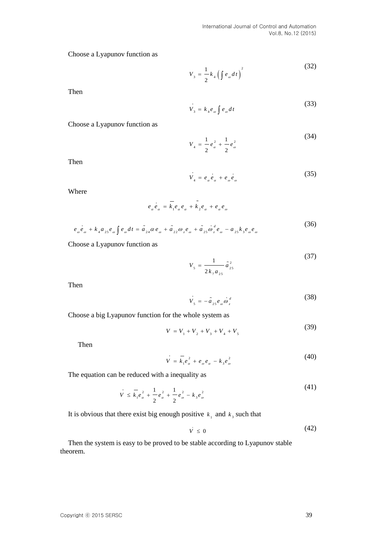Choose a Lyapunov function as

$$
V_{3} = \frac{1}{2} k_{4} \left( \int e_{\omega} dt \right)^{2}
$$
 (32)

Then

$$
\dot{V}_3 = k_4 e_\omega \int e_\omega dt \tag{33}
$$

Choose a Lyapunov function as

$$
V_4 = \frac{1}{2}e_\alpha^2 + \frac{1}{2}e_\omega^2 \tag{34}
$$

Then

$$
V_4 = e_a e_a + e_o e_o \tag{35}
$$

Where

$$
e_{\alpha}e_{\alpha} = \overline{k_1}e_{\alpha}e_{\alpha} + \overline{k_2}e_{\alpha} + e_{\alpha}e_{\omega}
$$
  
\n
$$
e_{\omega}e_{\omega} + k_4 a_{25}e_{\omega} \int e_{\omega} dt = \tilde{a}_{24} \alpha e_{\omega} + \tilde{a}_{22} \omega_z e_{\omega} + \tilde{a}_{25} \omega_z^d e_{\omega} - a_{25}k_3 e_{\omega} e_{\omega}
$$
\n(36)

Choose a Lyapunov function as

$$
V_s = \frac{1}{2k_7 a_{25}} \tilde{a}_{25}^2
$$
 (37)

Then

$$
V_s = -\tilde{a}_{2s} e_{\omega} \omega_z^d \tag{38}
$$

Choose a big Lyapunov function for the whole system as

$$
V = V_1 + V_2 + V_3 + V_4 + V_5 \tag{39}
$$

Then

$$
V = \overline{k}_1 e_a^2 + e_{\omega} e_{\alpha} - k_3 e_{\omega}^2
$$
 (40)

The equation can be reduced with a inequality as

$$
\dot{V} \le \overline{k}_1 e_{\alpha}^2 + \frac{1}{2} e_{\alpha}^2 + \frac{1}{2} e_{\omega}^2 - k_3 e_{\omega}^2 \tag{41}
$$

It is obvious that there exist big enough positive  $k_1$  and  $k_3$  such that

$$
\dot{V} \le 0 \tag{42}
$$

Then the system is easy to be proved to be stable according to Lyapunov stable theorem.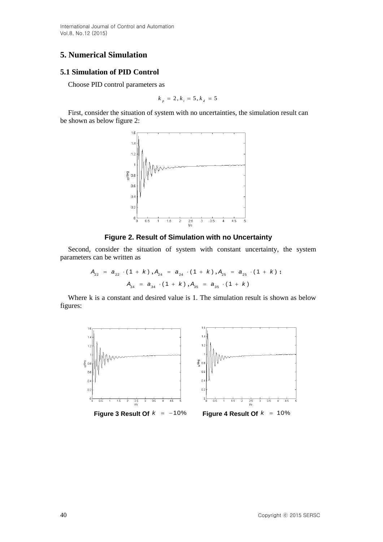# **5. Numerical Simulation**

### **5.1 Simulation of PID Control**

Choose PID control parameters as

$$
k_p = 2, k_i = 5, k_d = 5
$$

First, consider the situation of system with no uncertainties, the simulation result can be shown as below figure 2:



## **Figure 2. Result of Simulation with no Uncertainty**

Second, consider the situation of system with constant uncertainty, the system parameters can be written as

$$
A_{22} = a_{22} \cdot (1 + k) , A_{24} = a_{24} \cdot (1 + k) , A_{25} = a_{25} \cdot (1 + k) ;
$$
  

$$
A_{34} = a_{34} \cdot (1 + k) , A_{35} = a_{35} \cdot (1 + k)
$$

Where k is a constant and desired value is 1. The simulation result is shown as below figures:

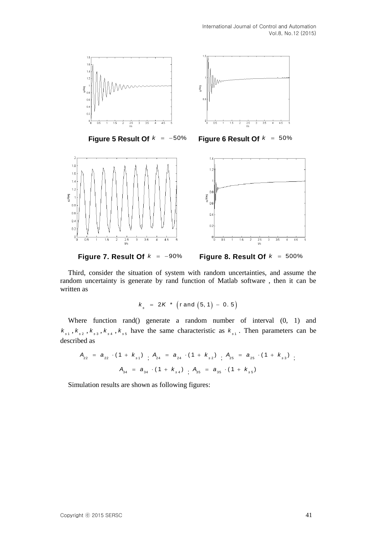





**Figure 6 Result Of**  $k$  $= 50%$ 



**Figure 7. Result Of**  $k = -90\%$ 



Third, consider the situation of system with random uncertainties, and assume the random uncertainty is generate by rand function of Matlab software , then it can be written as

$$
k_s
$$
 = 2K \* (rand (5, 1) - 0.5)

Where function rand() generate a random number of interval (0, 1) and  $k_{s1}$ ,  $k_{s2}$ ,  $k_{s3}$ ,  $k_{s4}$ ,  $k_{s5}$  have the same characteristic as  $k_{s1}$ . Then parameters can be described as

$$
A_{22} = a_{22} \cdot (1 + k_{s1}) \cdot A_{24} = a_{24} \cdot (1 + k_{s2}) \cdot A_{25} = a_{25} \cdot (1 + k_{s3}) \cdot A_{34} = a_{34} \cdot (1 + k_{s4}) \cdot A_{35} = a_{35} \cdot (1 + k_{s5})
$$

Simulation results are shown as following figures: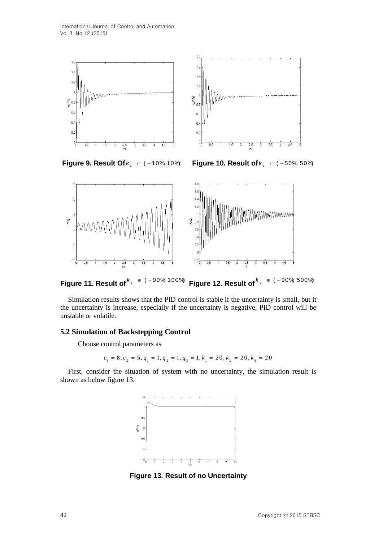

**Figure 9. Result Of**  $k_s \in (-10\% 10\%)$ 

*k* **Figure 10. Result of** ( 50%, 50%) *s k*



**Figure 11. Result of**  $\in$  (-90%, 100%) *s k* **Figure 12. Result of**  $-90\%500\%$ *s k*

Simulation results shows that the PID control is stable if the uncertainty is small, but it the uncertainty is increase, especially if the uncertainty is negative, PID control will be unstable or volatile.

## **5.2 Simulation of Backstepping Control**

Choose control parameters as

control parameters as  

$$
c_1 = 8, c_2 = 5, q_1 = 1, q_2 = 1, q_3 = 1, k_1 = 20, k_2 = 20, k_3 = 20
$$

First, consider the situation of system with no uncertainty, the simulation result is shown as below figure 13.



**Figure 13. Result of no Uncertainty**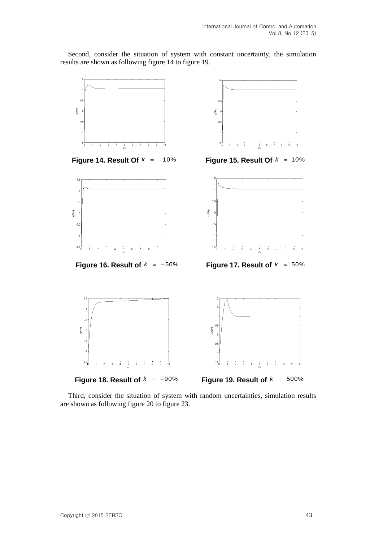Second, consider the situation of system with constant uncertainty, the simulation results are shown as following figure 14 to figure 19.



Third, consider the situation of system with random uncertainties, simulation results are shown as following figure 20 to figure 23.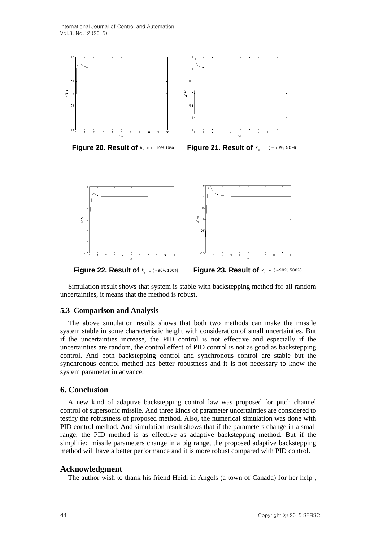

**Figure 20. Result of**  $k_s \in (-10\% 10\%$ 

*k*<sub>*s*</sub> ∈ (-10% 10%) **Figure 21. Result of**  $k$ <sub>*s*</sub> ∈ (-50% 50%)



Simulation result shows that system is stable with backstepping method for all random uncertainties, it means that the method is robust.

#### **5.3 Comparison and Analysis**

The above simulation results shows that both two methods can make the missile system stable in some characteristic height with consideration of small uncertainties. But if the uncertainties increase, the PID control is not effective and especially if the uncertainties are random, the control effect of PID control is not as good as backstepping control. And both backstepping control and synchronous control are stable but the synchronous control method has better robustness and it is not necessary to know the system parameter in advance.

## **6. Conclusion**

A new kind of adaptive backstepping control law was proposed for pitch channel control of supersonic missile. And three kinds of parameter uncertainties are considered to testify the robustness of proposed method. Also, the numerical simulation was done with PID control method. And simulation result shows that if the parameters change in a small range, the PID method is as effective as adaptive backstepping method. But if the simplified missile parameters change in a big range, the proposed adaptive backstepping method will have a better performance and it is more robust compared with PID control.

#### **Acknowledgment**

The author wish to thank his friend Heidi in Angels (a town of Canada) for her help ,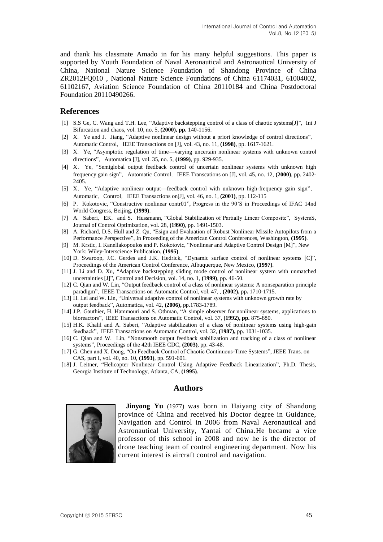and thank his classmate Amado in for his many helpful suggestions. This paper is supported by Youth Foundation of Naval Aeronautical and Astronautical University of China, National Nature Science Foundation of Shandong Province of China ZR2012FQ010 , National Nature Science Foundations of China 61174031, 61004002, 61102167, Aviation Science Foundation of China 20110184 and China Postdoctoral Foundation 20110490266.

### **References**

- [1] S.S Ge, C. Wang and T.H. Lee, "Adaptive backstepping control of a class of chaotic systems[J]", Int J Bifurcation and chaos, vol. 10, no. 5, **(2000), pp.** 140-1156.
- [2] X. Ye and J. Jiang, "Adaptive nonlinear design without a priori knowledge of control directions", Automatic Control, IEEE Transactions on [J], vol. 43, no. 11, **(1998)**, pp. 1617-1621.
- [3] X. Ye, "Asymptotic regulation of time—varying uncertain nonlinear systems with unknown control directions", Automatica [J], vol. 35, no. 5, (1999), pp. 929-935.
- [4] X. Ye, "Semiglobal output feedback control of uncertain nonlinear systems with unknown high frequency gain sign", Automatic Control, IEEE Transcations on [J], vol. 45, no. 12, (2000), pp. 2402-2405.
- [5] X. Ye, "Adaptive nonlinear output—feedback control with unknown high-frequency gain sign", Automatic, Control, IEEE Transactions on[J], vol. 46, no. 1, (2001), pp. 112-115
- [6] P.Kokotovic, "Constructive nonlinear contr01", Progress in the 90'S in Proceedings of IFAC 14nd World Congress, Beijing, **(1999)**.
- [7] A. Saberi, EK. and S. Hussmann, "Global Stabilization of Partially Linear Composite", SystemS, Journal of Control Optimization, vol. 28, **(1990)**, pp. 1491-1503.
- [8] A. Richard, D.S. Hull and Z. Qu, "Esign and Evaluation of Robust Nonlinear Missile Autopilots from a Performance Perspective", In Proceeding of the American Control Conferences, Washington, **(1995)**.
- [9] M. Krstic, I. Kanellakopoulos and P. Kokotovic, "Nonlinear and Adaptive Control Design [M]", New York: Wiley-Interscience Publication, **(1995)**.
- [10] D. Swaroop, J.C. Gerdes and J.K. Hedrick, "Dynamic surface control of nonlinear systems [C]", Proceedings of the American Control Conference, Albuquerque, New Mexico, **(1997)**.
- [11] J. Li and D. Xu, "Adaptive backstepping sliding mode control of nonlinear system with unmatched uncertainties [J]", Control and Decision, vol. 14, no. 1, **(1999)**, pp. 46-50.
- [12] C. Qian and W. Lin, "Output feedback control of a class of nonlinear systems: A nonseparation principle paradigm", IEEE Transactions on Automatic Control, vol. 47, , **(2002),** pp**.** 1710-1715.
- [13] H. Lei and W. Lin, "Universal adaptive control of nonlinear systems with unknown growth rate by output feedback", Automatica, vol. 42, **(2006),** pp.1783-1789.
- [14] J.P. Gauthier, H. Hammouri and S. Othman, "A simple observer for nonlinear systems, applications to bioreactors", IEEE Transactions on Automatic Control, vol. 37, **(1992), pp.** 875-880.
- [15] H.K. Khalil and A. Saberi, "Adaptive stabilization of a class of nonlinear systems using high-gain feedback", IEEE Transactions on Automatic Control, vol. 32, **(1987),** pp. 1031-1035.
- [16] C. Qian and W. Lin, "Nonsmooth output feedback stabilization and tracking of a class of nonlinear systems", Proceedings of the 42th IEEE CDC, **(2003)**, pp. 43-48.
- [17] G. Chen and X. Dong, "On Feedback Control of Chaotic Continuous-Time Systems", JEEE Trans. on CAS, part I, vol. 40, no. 10, **(1993)**, pp. 591-601.
- [18] J. Leitner, "Helicopter Nonlinear Control Using Adaptive Feedback Linearization", Ph.D. Thesis, Georgia Institute of Technology, Atlanta, CA, **(1995)**.

## **Authors**



**Jinyong Yu** (1977) was born in Haiyang city of Shandong province of China and received his Doctor degree in Guidance, Navigation and Control in 2006 from Naval Aeronautical and Astronautical University, Yantai of China.He became a vice professor of this school in 2008 and now he is the director of drone teaching team of control engineering department. Now his current interest is aircraft control and navigation.